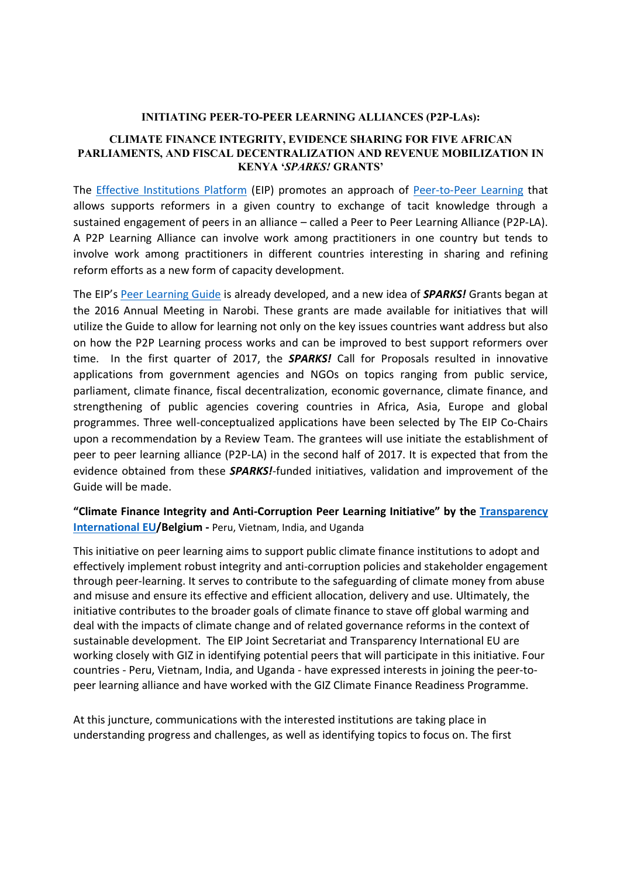#### **INITIATING PEER-TO-PEER LEARNING ALLIANCES (P2P-LAs):**

#### **CLIMATE FINANCE INTEGRITY, EVIDENCE SHARING FOR FIVE AFRICAN PARLIAMENTS, AND FISCAL DECENTRALIZATION AND REVENUE MOBILIZATION IN KENYA '***SPARKS!* **GRANTS'**

The [Effective Institutions Platform](http://www.effectiveinstitutions.org/en/) (EIP) promotes an approach of [Peer-to-Peer Learning](http://www.effectiveinstitutions.org/en/our-approach/2) that allows supports reformers in a given country to exchange of tacit knowledge through a sustained engagement of peers in an alliance – called a Peer to Peer Learning Alliance (P2P-LA). A P2P Learning Alliance can involve work among practitioners in one country but tends to involve work among practitioners in different countries interesting in sharing and refining reform efforts as a new form of capacity development.

The EIP's [Peer Learning Guide](https://www.effectiveinstitutions.org/media/The_EIP_P_to_P_Learning_Guide.pdf) is already developed, and a new idea of *SPARKS!* Grants began at the 2016 Annual Meeting in Narobi. These grants are made available for initiatives that will utilize the Guide to allow for learning not only on the key issues countries want address but also on how the P2P Learning process works and can be improved to best support reformers over time. In the first quarter of 2017, the *SPARKS!* Call for Proposals resulted in innovative applications from government agencies and NGOs on topics ranging from public service, parliament, climate finance, fiscal decentralization, economic governance, climate finance, and strengthening of public agencies covering countries in Africa, Asia, Europe and global programmes. Three well-conceptualized applications have been selected by The EIP Co-Chairs upon a recommendation by a Review Team. The grantees will use initiate the establishment of peer to peer learning alliance (P2P-LA) in the second half of 2017. It is expected that from the evidence obtained from these *SPARKS!*-funded initiatives, validation and improvement of the Guide will be made.

## **"Climate Finance Integrity and Anti-Corruption Peer Learning Initiative" by the [Transparency](http://transparency.eu/)  [International EU](http://transparency.eu/)/Belgium -** Peru, Vietnam, India, and Uganda

This initiative on peer learning aims to support public climate finance institutions to adopt and effectively implement robust integrity and anti-corruption policies and stakeholder engagement through peer-learning. It serves to contribute to the safeguarding of climate money from abuse and misuse and ensure its effective and efficient allocation, delivery and use. Ultimately, the initiative contributes to the broader goals of climate finance to stave off global warming and deal with the impacts of climate change and of related governance reforms in the context of sustainable development. The EIP Joint Secretariat and Transparency International EU are working closely with GIZ in identifying potential peers that will participate in this initiative. Four countries - Peru, Vietnam, India, and Uganda - have expressed interests in joining the peer-topeer learning alliance and have worked with the GIZ Climate Finance Readiness Programme.

At this juncture, communications with the interested institutions are taking place in understanding progress and challenges, as well as identifying topics to focus on. The first